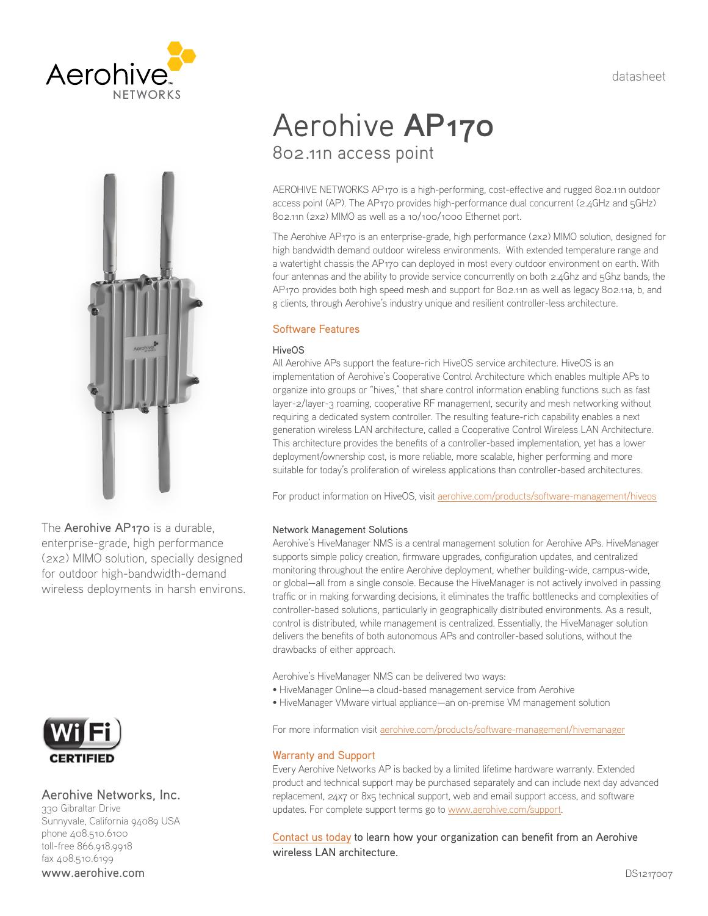datasheet





The Aerohive AP170 is a durable, enterprise-grade, high performance (2x2) MIMO solution, specially designed for outdoor high-bandwidth-demand wireless deployments in harsh environs.



# Aerohive Networks, Inc.

330 Gibraltar Drive Sunnyvale, California 94089 USA phone 408.510.6100 toll-free 866.918.9918 fax 408.510.6199 www.aerohive.com

# Aerohive **AP170** 802.11n access point

AEROHIVE NETWORKS AP170 is a high-performing, cost-effective and rugged 802.11n outdoor access point (AP). The AP170 provides high-performance dual concurrent (2.4GHz and 5GHz) 802.11n (2x2) MIMO as well as a 10/100/1000 Ethernet port.

The Aerohive AP170 is an enterprise-grade, high performance (2x2) MIMO solution, designed for high bandwidth demand outdoor wireless environments. With extended temperature range and a watertight chassis the AP170 can deployed in most every outdoor environment on earth. With four antennas and the ability to provide service concurrently on both 2.4Ghz and 5Ghz bands, the AP170 provides both high speed mesh and support for 802.11n as well as legacy 802.11a, b, and g clients, through Aerohive's industry unique and resilient controller-less architecture.

# Software Features

# **HiveOS**

All Aerohive APs support the feature-rich HiveOS service architecture. HiveOS is an implementation of Aerohive's Cooperative Control Architecture which enables multiple APs to organize into groups or "hives," that share control information enabling functions such as fast layer-2/layer-3 roaming, cooperative RF management, security and mesh networking without requiring a dedicated system controller. The resulting feature-rich capability enables a next generation wireless LAN architecture, called a Cooperative Control Wireless LAN Architecture. This architecture provides the benefits of a controller-based implementation, yet has a lower deployment/ownership cost, is more reliable, more scalable, higher performing and more suitable for today's proliferation of wireless applications than controller-based architectures.

For product information on HiveOS, visit [aerohive.com/products/software-management/hiveos](http://www.aerohive.com/products/software-management/hiveos)

# Network Management Solutions

Aerohive's HiveManager NMS is a central management solution for Aerohive APs. HiveManager supports simple policy creation, firmware upgrades, configuration updates, and centralized monitoring throughout the entire Aerohive deployment, whether building-wide, campus-wide, or global—all from a single console. Because the HiveManager is not actively involved in passing traffic or in making forwarding decisions, it eliminates the traffic bottlenecks and complexities of controller-based solutions, particularly in geographically distributed environments. As a result, control is distributed, while management is centralized. Essentially, the HiveManager solution delivers the benefits of both autonomous APs and controller-based solutions, without the drawbacks of either approach.

Aerohive's HiveManager NMS can be delivered two ways:

- HiveManager Online—a cloud-based management service from Aerohive
- HiveManager VMware virtual appliance—an on-premise VM management solution

For more information visit [aerohive.com/products/software-management/hivemanager](http://www.aerohive.com/products/software-management/hivemanager)

# Warranty and Support

Every Aerohive Networks AP is backed by a limited lifetime hardware warranty. Extended product and technical support may be purchased separately and can include next day advanced replacement, 24x7 or 8x5 technical support, web and email support access, and software updates. For complete support terms go to [www.aerohive.com/support](http://www.aerohive.com/support).

[Contact us today](http://www.aerohive.com/contact-us/) to learn how your organization can benefit from an Aerohive wireless LAN architecture.